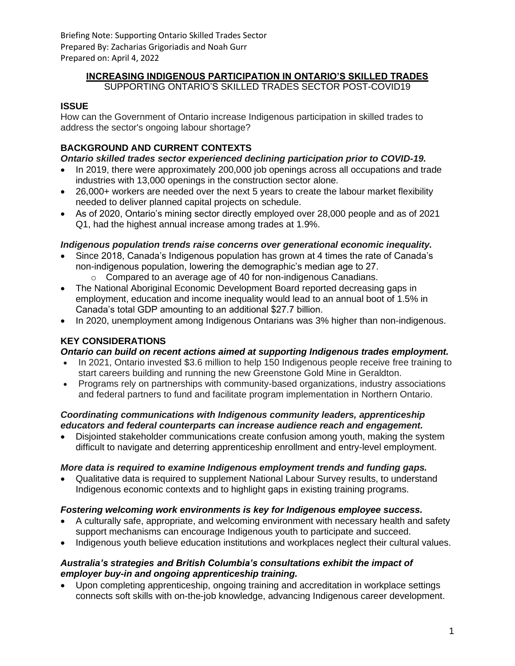Briefing Note: Supporting Ontario Skilled Trades Sector Prepared By: Zacharias Grigoriadis and Noah Gurr Prepared on: April 4, 2022

# **INCREASING INDIGENOUS PARTICIPATION IN ONTARIO'S SKILLED TRADES**

SUPPORTING ONTARIO'S SKILLED TRADES SECTOR POST-COVID19

## **ISSUE**

How can the Government of Ontario increase Indigenous participation in skilled trades to address the sector's ongoing labour shortage?

# **BACKGROUND AND CURRENT CONTEXTS**

## *Ontario skilled trades sector experienced declining participation prior to COVID-19.*

- In 2019, there were approximately 200,000 job openings across all occupations and trade industries with 13,000 openings in the construction sector alone.
- 26,000+ workers are needed over the next 5 years to create the labour market flexibility needed to deliver planned capital projects on schedule.
- As of 2020, Ontario's mining sector directly employed over 28,000 people and as of 2021 Q1, had the highest annual increase among trades at 1.9%.

## *Indigenous population trends raise concerns over generational economic inequality.*

- Since 2018, Canada's Indigenous population has grown at 4 times the rate of Canada's non-indigenous population, lowering the demographic's median age to 27.
	- o Compared to an average age of 40 for non-indigenous Canadians.
- The National Aboriginal Economic Development Board reported decreasing gaps in employment, education and income inequality would lead to an annual boot of 1.5% in Canada's total GDP amounting to an additional \$27.7 billion.
- In 2020, unemployment among Indigenous Ontarians was 3% higher than non-indigenous.

## **KEY CONSIDERATIONS**

## *Ontario can build on recent actions aimed at supporting Indigenous trades employment.*

- In 2021, Ontario invested \$3.6 million to help 150 Indigenous people receive free training to start careers building and running the new Greenstone Gold Mine in Geraldton.
- Programs rely on partnerships with community-based organizations, industry associations and federal partners to fund and facilitate program implementation in Northern Ontario.

#### *Coordinating communications with Indigenous community leaders, apprenticeship educators and federal counterparts can increase audience reach and engagement.*

• Disjointed stakeholder communications create confusion among youth, making the system difficult to navigate and deterring apprenticeship enrollment and entry-level employment.

## *More data is required to examine Indigenous employment trends and funding gaps.*

• Qualitative data is required to supplement National Labour Survey results, to understand Indigenous economic contexts and to highlight gaps in existing training programs.

## *Fostering welcoming work environments is key for Indigenous employee success.*

- A culturally safe, appropriate, and welcoming environment with necessary health and safety support mechanisms can encourage Indigenous youth to participate and succeed.
- Indigenous youth believe education institutions and workplaces neglect their cultural values.

### *Australia's strategies and British Columbia's consultations exhibit the impact of employer buy-in and ongoing apprenticeship training.*

• Upon completing apprenticeship, ongoing training and accreditation in workplace settings connects soft skills with on-the-job knowledge, advancing Indigenous career development.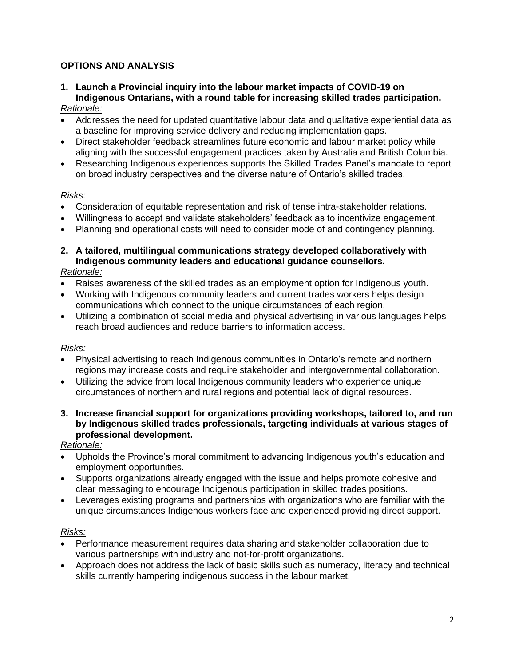## **OPTIONS AND ANALYSIS**

## **1. Launch a Provincial inquiry into the labour market impacts of COVID-19 on Indigenous Ontarians, with a round table for increasing skilled trades participation.**

## *Rationale:*

- Addresses the need for updated quantitative labour data and qualitative experiential data as a baseline for improving service delivery and reducing implementation gaps.
- Direct stakeholder feedback streamlines future economic and labour market policy while aligning with the successful engagement practices taken by Australia and British Columbia.
- Researching Indigenous experiences supports the Skilled Trades Panel's mandate to report on broad industry perspectives and the diverse nature of Ontario's skilled trades.

#### *Risks:*

- Consideration of equitable representation and risk of tense intra-stakeholder relations.
- Willingness to accept and validate stakeholders' feedback as to incentivize engagement.
- Planning and operational costs will need to consider mode of and contingency planning.
- **2. A tailored, multilingual communications strategy developed collaboratively with Indigenous community leaders and educational guidance counsellors.** *Rationale:*

- Raises awareness of the skilled trades as an employment option for Indigenous youth.
- Working with Indigenous community leaders and current trades workers helps design communications which connect to the unique circumstances of each region.
- Utilizing a combination of social media and physical advertising in various languages helps reach broad audiences and reduce barriers to information access.

#### *Risks:*

- Physical advertising to reach Indigenous communities in Ontario's remote and northern regions may increase costs and require stakeholder and intergovernmental collaboration.
- Utilizing the advice from local Indigenous community leaders who experience unique circumstances of northern and rural regions and potential lack of digital resources.
- **3. Increase financial support for organizations providing workshops, tailored to, and run by Indigenous skilled trades professionals, targeting individuals at various stages of professional development.**

#### *Rationale:*

- Upholds the Province's moral commitment to advancing Indigenous youth's education and employment opportunities.
- Supports organizations already engaged with the issue and helps promote cohesive and clear messaging to encourage Indigenous participation in skilled trades positions.
- Leverages existing programs and partnerships with organizations who are familiar with the unique circumstances Indigenous workers face and experienced providing direct support.

#### *Risks:*

- Performance measurement requires data sharing and stakeholder collaboration due to various partnerships with industry and not-for-profit organizations.
- Approach does not address the lack of basic skills such as numeracy, literacy and technical skills currently hampering indigenous success in the labour market.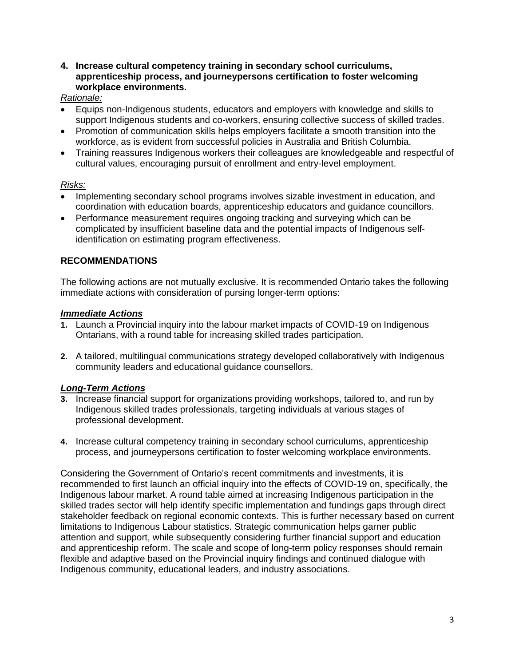#### **4. Increase cultural competency training in secondary school curriculums, apprenticeship process, and journeypersons certification to foster welcoming workplace environments.**

#### *Rationale:*

- Equips non-Indigenous students, educators and employers with knowledge and skills to support Indigenous students and co-workers, ensuring collective success of skilled trades.
- Promotion of communication skills helps employers facilitate a smooth transition into the workforce, as is evident from successful policies in Australia and British Columbia.
- Training reassures Indigenous workers their colleagues are knowledgeable and respectful of cultural values, encouraging pursuit of enrollment and entry-level employment.

#### *Risks:*

- Implementing secondary school programs involves sizable investment in education, and coordination with education boards, apprenticeship educators and guidance councillors.
- Performance measurement requires ongoing tracking and surveying which can be complicated by insufficient baseline data and the potential impacts of Indigenous selfidentification on estimating program effectiveness.

### **RECOMMENDATIONS**

The following actions are not mutually exclusive. It is recommended Ontario takes the following immediate actions with consideration of pursing longer-term options:

#### *Immediate Actions*

- **1.** Launch a Provincial inquiry into the labour market impacts of COVID-19 on Indigenous Ontarians, with a round table for increasing skilled trades participation.
- **2.** A tailored, multilingual communications strategy developed collaboratively with Indigenous community leaders and educational guidance counsellors.

#### *Long-Term Actions*

- **3.** Increase financial support for organizations providing workshops, tailored to, and run by Indigenous skilled trades professionals, targeting individuals at various stages of professional development.
- **4.** Increase cultural competency training in secondary school curriculums, apprenticeship process, and journeypersons certification to foster welcoming workplace environments.

Considering the Government of Ontario's recent commitments and investments, it is recommended to first launch an official inquiry into the effects of COVID-19 on, specifically, the Indigenous labour market. A round table aimed at increasing Indigenous participation in the skilled trades sector will help identify specific implementation and fundings gaps through direct stakeholder feedback on regional economic contexts. This is further necessary based on current limitations to Indigenous Labour statistics. Strategic communication helps garner public attention and support, while subsequently considering further financial support and education and apprenticeship reform. The scale and scope of long-term policy responses should remain flexible and adaptive based on the Provincial inquiry findings and continued dialogue with Indigenous community, educational leaders, and industry associations.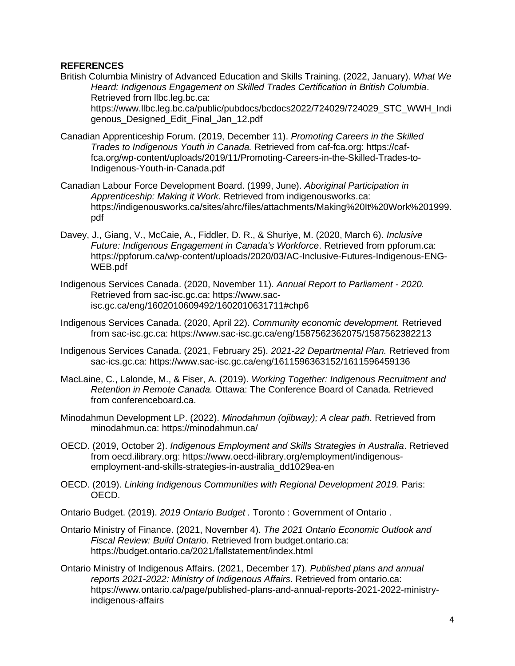#### **REFERENCES**

- British Columbia Ministry of Advanced Education and Skills Training. (2022, January). *What We Heard: Indigenous Engagement on Skilled Trades Certification in British Columbia*. Retrieved from llbc.leg.bc.ca: https://www.llbc.leg.bc.ca/public/pubdocs/bcdocs2022/724029/724029\_STC\_WWH\_Indi genous\_Designed\_Edit\_Final\_Jan\_12.pdf
- Canadian Apprenticeship Forum. (2019, December 11). *Promoting Careers in the Skilled Trades to Indigenous Youth in Canada.* Retrieved from caf-fca.org: https://caffca.org/wp-content/uploads/2019/11/Promoting-Careers-in-the-Skilled-Trades-to-Indigenous-Youth-in-Canada.pdf
- Canadian Labour Force Development Board. (1999, June). *Aboriginal Participation in Apprenticeship: Making it Work*. Retrieved from indigenousworks.ca: https://indigenousworks.ca/sites/ahrc/files/attachments/Making%20It%20Work%201999. pdf
- Davey, J., Giang, V., McCaie, A., Fiddler, D. R., & Shuriye, M. (2020, March 6). *Inclusive Future: Indigenous Engagement in Canada's Workforce*. Retrieved from ppforum.ca: https://ppforum.ca/wp-content/uploads/2020/03/AC-Inclusive-Futures-Indigenous-ENG-WEB.pdf
- Indigenous Services Canada. (2020, November 11). *Annual Report to Parliament - 2020.* Retrieved from sac-isc.gc.ca: https://www.sacisc.gc.ca/eng/1602010609492/1602010631711#chp6
- Indigenous Services Canada. (2020, April 22). *Community economic development.* Retrieved from sac-isc.gc.ca: https://www.sac-isc.gc.ca/eng/1587562362075/1587562382213
- Indigenous Services Canada. (2021, February 25). *2021-22 Departmental Plan.* Retrieved from sac-ics.gc.ca: https://www.sac-isc.gc.ca/eng/1611596363152/1611596459136
- MacLaine, C., Lalonde, M., & Fiser, A. (2019). *Working Together: Indigenous Recruitment and Retention in Remote Canada.* Ottawa: The Conference Board of Canada. Retrieved from conferenceboard.ca.
- Minodahmun Development LP. (2022). *Minodahmun (ojibway); A clear path*. Retrieved from minodahmun.ca: https://minodahmun.ca/
- OECD. (2019, October 2). *Indigenous Employment and Skills Strategies in Australia*. Retrieved from oecd.ilibrary.org: https://www.oecd-ilibrary.org/employment/indigenousemployment-and-skills-strategies-in-australia\_dd1029ea-en
- OECD. (2019). *Linking Indigenous Communities with Regional Development 2019.* Paris: OECD.
- Ontario Budget. (2019). *2019 Ontario Budget .* Toronto : Government of Ontario .
- Ontario Ministry of Finance. (2021, November 4). *The 2021 Ontario Economic Outlook and Fiscal Review: Build Ontario*. Retrieved from budget.ontario.ca: https://budget.ontario.ca/2021/fallstatement/index.html
- Ontario Ministry of Indigenous Affairs. (2021, December 17). *Published plans and annual reports 2021-2022: Ministry of Indigenous Affairs*. Retrieved from ontario.ca: https://www.ontario.ca/page/published-plans-and-annual-reports-2021-2022-ministryindigenous-affairs